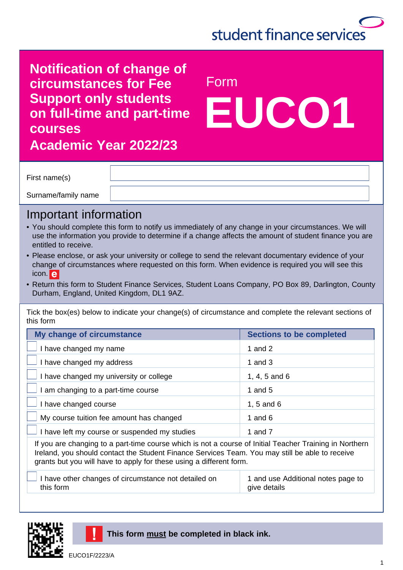

**EUCO1**

**Notification of change of circumstances for Fee** Form **Support only students on full-time and part-time courses** 

**Academic Year 2022/23**

First name(s)

Surname/family name

#### Important information

- You should complete this form to notify us immediately of any change in your circumstances. We will use the information you provide to determine if a change affects the amount of student finance you are entitled to receive.
- Please enclose, or ask your university or college to send the relevant documentary evidence of your change of circumstances where requested on this form. When evidence is required you will see this icon. e
- Return this form to Student Finance Services, Student Loans Company, PO Box 89, Darlington, County Durham, England, United Kingdom, DL1 9AZ.

Tick the box(es) below to indicate your change(s) of circumstance and complete the relevant sections of this form

| My change of circumstance                                                                               | <b>Sections to be completed</b> |
|---------------------------------------------------------------------------------------------------------|---------------------------------|
| I have changed my name                                                                                  | 1 and $2$                       |
| I have changed my address                                                                               | 1 and $3$                       |
| I have changed my university or college                                                                 | 1, 4, 5 and $6$                 |
| I am changing to a part-time course                                                                     | 1 and $5$                       |
| I have changed course                                                                                   | 1, 5 and $6$                    |
| My course tuition fee amount has changed                                                                | 1 and $6$                       |
| I have left my course or suspended my studies                                                           | 1 and 7                         |
| If you are changing to a part-time course which is not a course of Initial Teacher Training in Northern |                                 |

Ireland, you should contact the Student Finance Services Team. You may still be able to receive grants but you will have to apply for these using a different form.

| $\Box$ I have other changes of circumstance not detailed on | 1 and use Additional notes page to |
|-------------------------------------------------------------|------------------------------------|
| this form                                                   | give details                       |





#### **This form must be completed in black ink.**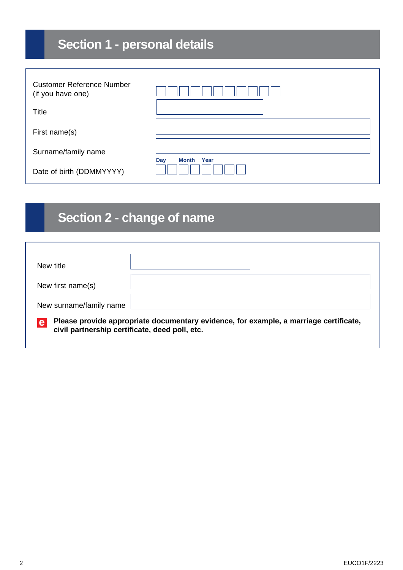# **Section 1 - personal details**

| <b>Customer Reference Number</b><br>(if you have one) |                      |
|-------------------------------------------------------|----------------------|
| Title                                                 |                      |
| First name(s)                                         |                      |
| Surname/family name                                   |                      |
| Date of birth (DDMMYYYY)                              | Year<br>Month<br>Day |

## **Section 2 - change of name**

| New title                                           |                                                                                       |  |
|-----------------------------------------------------|---------------------------------------------------------------------------------------|--|
| New first name(s)                                   |                                                                                       |  |
| New surname/family name                             |                                                                                       |  |
| e<br>civil partnership certificate, deed poll, etc. | Please provide appropriate documentary evidence, for example, a marriage certificate, |  |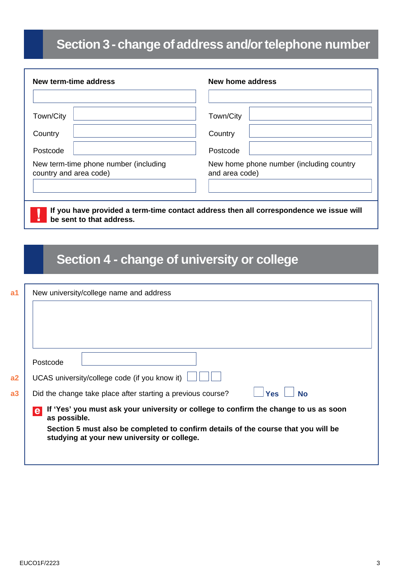## **Section 3 - change of address and/or telephone number**

| New term-time address                                           | New home address                                                                       |
|-----------------------------------------------------------------|----------------------------------------------------------------------------------------|
|                                                                 |                                                                                        |
| Town/City                                                       | Town/City                                                                              |
| Country                                                         | Country                                                                                |
| Postcode                                                        | Postcode                                                                               |
| New term-time phone number (including<br>country and area code) | New home phone number (including country<br>and area code)                             |
| be sent to that address.                                        | If you have provided a term-time contact address then all correspondence we issue will |

## **Section 4 - change of university or college**

| a <sub>1</sub> | New university/college name and address                                                                                           |  |  |  |
|----------------|-----------------------------------------------------------------------------------------------------------------------------------|--|--|--|
|                |                                                                                                                                   |  |  |  |
|                |                                                                                                                                   |  |  |  |
|                |                                                                                                                                   |  |  |  |
|                | Postcode                                                                                                                          |  |  |  |
| a2             | UCAS university/college code (if you know it)                                                                                     |  |  |  |
| a3             | Did the change take place after starting a previous course?<br><b>No</b><br><b>Yes</b>                                            |  |  |  |
|                | If 'Yes' you must ask your university or college to confirm the change to us as soon<br>e<br>as possible.                         |  |  |  |
|                | Section 5 must also be completed to confirm details of the course that you will be<br>studying at your new university or college. |  |  |  |
|                |                                                                                                                                   |  |  |  |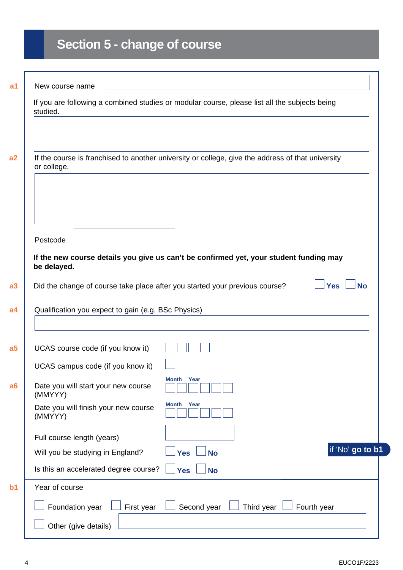# **Section 5 - change of course**

|                                                     |            | If you are following a combined studies or modular course, please list all the subjects being     |                         |
|-----------------------------------------------------|------------|---------------------------------------------------------------------------------------------------|-------------------------|
| studied.                                            |            |                                                                                                   |                         |
|                                                     |            |                                                                                                   |                         |
|                                                     |            |                                                                                                   |                         |
|                                                     |            | If the course is franchised to another university or college, give the address of that university |                         |
| or college.                                         |            |                                                                                                   |                         |
|                                                     |            |                                                                                                   |                         |
|                                                     |            |                                                                                                   |                         |
|                                                     |            |                                                                                                   |                         |
| Postcode                                            |            |                                                                                                   |                         |
|                                                     |            |                                                                                                   |                         |
| be delayed.                                         |            | If the new course details you give us can't be confirmed yet, your student funding may            |                         |
|                                                     |            |                                                                                                   |                         |
|                                                     |            | Did the change of course take place after you started your previous course?                       | <b>Yes</b><br><b>No</b> |
|                                                     |            |                                                                                                   |                         |
| Qualification you expect to gain (e.g. BSc Physics) |            |                                                                                                   |                         |
|                                                     |            |                                                                                                   |                         |
|                                                     |            |                                                                                                   |                         |
| UCAS course code (if you know it)                   |            |                                                                                                   |                         |
| UCAS campus code (if you know it)                   |            |                                                                                                   |                         |
|                                                     |            | Month<br>Year                                                                                     |                         |
| Date you will start your new course<br>(MMYYY)      |            |                                                                                                   |                         |
| Date you will finish your new course                |            | Month Year                                                                                        |                         |
| (MMYYY)                                             |            |                                                                                                   |                         |
| Full course length (years)                          |            |                                                                                                   |                         |
| Will you be studying in England?                    |            | <b>Yes</b><br><b>No</b>                                                                           | if 'No' go to b1        |
| Is this an accelerated degree course?               |            | <b>Yes</b><br><b>No</b>                                                                           |                         |
| Year of course                                      |            |                                                                                                   |                         |
| Foundation year                                     | First year | Third year<br>Second year                                                                         | Fourth year             |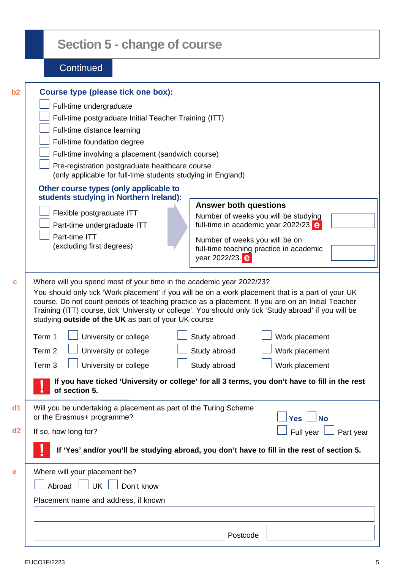|          | <b>Section 5 - change of course</b>                                                                                                                                                                                                                                                                                                                                                                                                                                                                                                                                                                                                                                                                                                                                                              |
|----------|--------------------------------------------------------------------------------------------------------------------------------------------------------------------------------------------------------------------------------------------------------------------------------------------------------------------------------------------------------------------------------------------------------------------------------------------------------------------------------------------------------------------------------------------------------------------------------------------------------------------------------------------------------------------------------------------------------------------------------------------------------------------------------------------------|
|          | Continued                                                                                                                                                                                                                                                                                                                                                                                                                                                                                                                                                                                                                                                                                                                                                                                        |
| b2       | <b>Course type (please tick one box):</b><br>Full-time undergraduate<br>Full-time postgraduate Initial Teacher Training (ITT)<br>Full-time distance learning<br>Full-time foundation degree<br>Full-time involving a placement (sandwich course)<br>Pre-registration postgraduate healthcare course<br>(only applicable for full-time students studying in England)<br>Other course types (only applicable to<br>students studying in Northern Ireland):<br><b>Answer both questions</b><br>Flexible postgraduate ITT<br>Number of weeks you will be studying<br>full-time in academic year 2022/23 $e$<br>Part-time undergraduate ITT<br>Part-time ITT<br>Number of weeks you will be on<br>(excluding first degrees)<br>full-time teaching practice in academic<br>year 2022/23. e             |
| C        | Where will you spend most of your time in the academic year 2022/23?<br>You should only tick 'Work placement' if you will be on a work placement that is a part of your UK<br>course. Do not count periods of teaching practice as a placement. If you are on an Initial Teacher<br>Training (ITT) course, tick 'University or college'. You should only tick 'Study abroad' if you will be<br>studying outside of the UK as part of your UK course<br>University or college<br>Study abroad<br>Term 1<br>Work placement<br>University or college<br>Study abroad<br>Term 2<br>Work placement<br>Study abroad<br>University or college<br>Term <sub>3</sub><br>Work placement<br>If you have ticked 'University or college' for all 3 terms, you don't have to fill in the rest<br>of section 5. |
| d1<br>d2 | Will you be undertaking a placement as part of the Turing Scheme<br>or the Erasmus+ programme?<br><b>No</b><br><b>Yes</b><br>Full year<br>If so, how long for?<br>Part year                                                                                                                                                                                                                                                                                                                                                                                                                                                                                                                                                                                                                      |
|          | If 'Yes' and/or you'll be studying abroad, you don't have to fill in the rest of section 5.                                                                                                                                                                                                                                                                                                                                                                                                                                                                                                                                                                                                                                                                                                      |
| e        | Where will your placement be?<br>Abroad $\Box$ UK $\Box$<br>$\Box$ Don't know<br>Placement name and address, if known<br>Postcode                                                                                                                                                                                                                                                                                                                                                                                                                                                                                                                                                                                                                                                                |

- I

1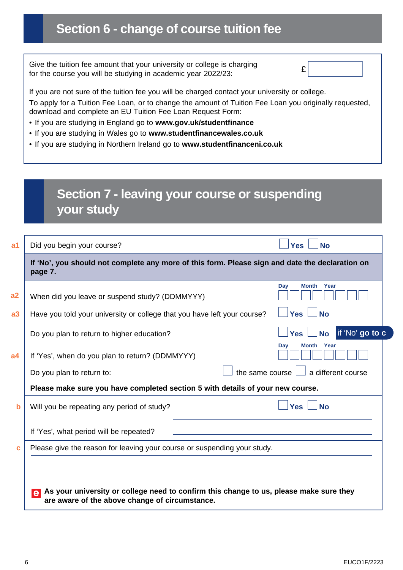# **Section 6 - change of course tuition fee**

| Give the tuition fee amount that your university or college is charging<br>for the course you will be studying in academic year 2022/23:                             | £ |  |  |
|----------------------------------------------------------------------------------------------------------------------------------------------------------------------|---|--|--|
| If you are not sure of the tuition fee you will be charged contact your university or college.                                                                       |   |  |  |
| To apply for a Tuition Fee Loan, or to change the amount of Tuition Fee Loan you originally requested,<br>download and complete an EU Tuition Fee Loan Request Form: |   |  |  |
| • If you are studying in England go to www.gov.uk/studentfinance                                                                                                     |   |  |  |
| . If you are studying in Wales go to www.studentfinancewales.co.uk                                                                                                   |   |  |  |
| . If you are studying in Northern Ireland go to www.studentfinanceni.co.uk                                                                                           |   |  |  |
|                                                                                                                                                                      |   |  |  |
|                                                                                                                                                                      |   |  |  |
|                                                                                                                                                                      |   |  |  |
| Section 7 - leaving your course or suspending<br>your study                                                                                                          |   |  |  |

| Did you begin your course?                                                             | <b>Yes</b><br><b>No</b>                                                                         |
|----------------------------------------------------------------------------------------|-------------------------------------------------------------------------------------------------|
| page 7.                                                                                | If 'No', you should not complete any more of this form. Please sign and date the declaration on |
| When did you leave or suspend study? (DDMMYYY)                                         | <b>Month</b><br>Day<br>Year                                                                     |
| Have you told your university or college that you have left your course?               | <b>Yes</b><br><b>No</b>                                                                         |
| Do you plan to return to higher education?                                             | if 'No' go to c<br><b>No</b><br><b>Yes</b>                                                      |
| If 'Yes', when do you plan to return? (DDMMYYY)                                        | <b>Month</b> Year<br>Day                                                                        |
| Do you plan to return to:                                                              | a different course<br>the same course                                                           |
| Please make sure you have completed section 5 with details of your new course.         |                                                                                                 |
| Will you be repeating any period of study?                                             | <b>Yes</b><br><b>No</b>                                                                         |
| If 'Yes', what period will be repeated?                                                |                                                                                                 |
| Please give the reason for leaving your course or suspending your study.               |                                                                                                 |
|                                                                                        |                                                                                                 |
| As your university or college need to confirm this change to us, please make sure they |                                                                                                 |
| $\mathbf{e}$<br>are aware of the above change of circumstance.                         |                                                                                                 |

 $\Gamma$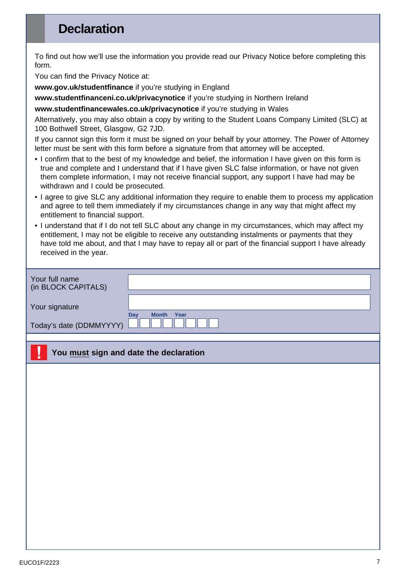#### **Declaration**

To find out how we'll use the information you provide read our Privacy Notice before completing this form.

You can find the Privacy Notice at:

**[www.gov.uk/studentfinance](http://www.gov.uk/studentfinance)** if you're studying in England

**[www.studentfinanceni.co.uk/privacynotice](http://www.studentfinanceni.co.uk/privacynotice)** if you're studying in Northern Ireland

**[www.studentfinancewales.co.uk/privacynotice](http://www.studentfinancewales.co.uk/privacynotice)** if you're studying in Wales

Alternatively, you may also obtain a copy by writing to the Student Loans Company Limited (SLC) at 100 Bothwell Street, Glasgow, G2 7JD.

If you cannot sign this form it must be signed on your behalf by your attorney. The Power of Attorney letter must be sent with this form before a signature from that attorney will be accepted.

- I confirm that to the best of my knowledge and belief, the information I have given on this form is true and complete and I understand that if I have given SLC false information, or have not given them complete information, I may not receive financial support, any support I have had may be withdrawn and I could be prosecuted.
- I agree to give SLC any additional information they require to enable them to process my application and agree to tell them immediately if my circumstances change in any way that might affect my entitlement to financial support.
- I understand that if I do not tell SLC about any change in my circumstances, which may affect my entitlement, I may not be eligible to receive any outstanding instalments or payments that they have told me about, and that I may have to repay all or part of the financial support I have already received in the year.

| Your full name<br>(in BLOCK CAPITALS) |                             |
|---------------------------------------|-----------------------------|
| Your signature                        | <b>Month</b><br>Year<br>Day |
| Today's date (DDMMYYYY)               |                             |

#### **You must sign and date the declaration**